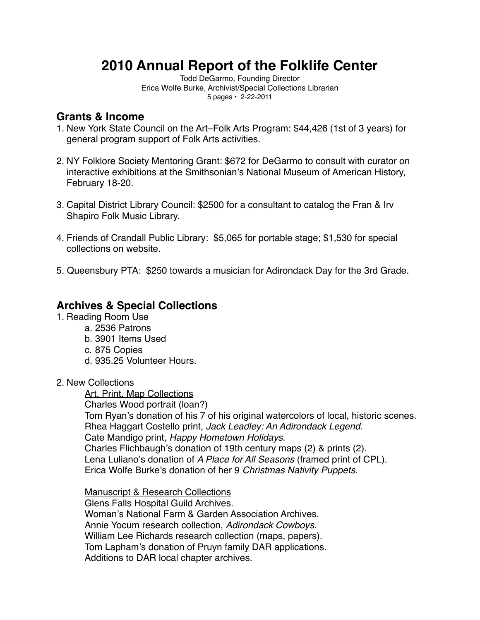# **2010 Annual Report of the Folklife Center**

Todd DeGarmo, Founding Director Erica Wolfe Burke, Archivist/Special Collections Librarian 5 pages • 2-22-2011

### **Grants & Income**

- 1. New York State Council on the Art–Folk Arts Program: \$44,426 (1st of 3 years) for general program support of Folk Arts activities.
- 2. NY Folklore Society Mentoring Grant: \$672 for DeGarmo to consult with curator on interactive exhibitions at the Smithsonian's National Museum of American History, February 18-20.
- 3. Capital District Library Council: \$2500 for a consultant to catalog the Fran & Irv Shapiro Folk Music Library.
- 4. Friends of Crandall Public Library: \$5,065 for portable stage; \$1,530 for special collections on website.
- 5. Queensbury PTA: \$250 towards a musician for Adirondack Day for the 3rd Grade.

# **Archives & Special Collections**

- 1. Reading Room Use
	- a. 2536 Patrons
	- b. 3901 Items Used
	- c. 875 Copies
	- d. 935.25 Volunteer Hours.

#### 2. New Collections

Art, Print. Map Collections

Charles Wood portrait (loan?)

Tom Ryan's donation of his 7 of his original watercolors of local, historic scenes. Rhea Haggart Costello print, *Jack Leadley: An Adirondack Legend*. Cate Mandigo print, *Happy Hometown Holidays*. Charles Flichbaugh's donation of 19th century maps (2) & prints (2). Lena Luliano's donation of *A Place for All Seasons* (framed print of CPL). Erica Wolfe Burke's donation of her 9 *Christmas Nativity Puppets*.

**Manuscript & Research Collections** Glens Falls Hospital Guild Archives. Woman's National Farm & Garden Association Archives. Annie Yocum research collection, *Adirondack Cowboys*. William Lee Richards research collection (maps, papers). Tom Lapham's donation of Pruyn family DAR applications. Additions to DAR local chapter archives.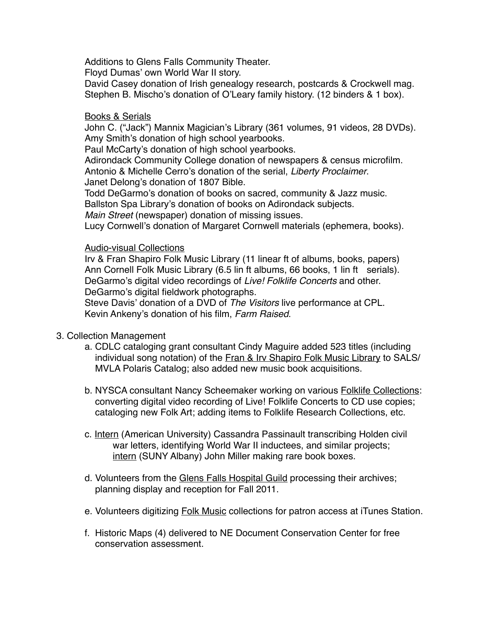Additions to Glens Falls Community Theater.

Floyd Dumas' own World War II story.

David Casey donation of Irish genealogy research, postcards & Crockwell mag. Stephen B. Mischo's donation of O'Leary family history. (12 binders & 1 box).

#### Books & Serials

John C. ("Jack") Mannix Magician's Library (361 volumes, 91 videos, 28 DVDs). Amy Smith's donation of high school yearbooks.

Paul McCarty's donation of high school yearbooks.

Adirondack Community College donation of newspapers & census microfilm. Antonio & Michelle Cerro's donation of the serial, *Liberty Proclaimer*. Janet Delong's donation of 1807 Bible.

Todd DeGarmo's donation of books on sacred, community & Jazz music. Ballston Spa Library's donation of books on Adirondack subjects.

*Main Street* (newspaper) donation of missing issues.

Lucy Cornwell's donation of Margaret Cornwell materials (ephemera, books).

#### Audio-visual Collections

Irv & Fran Shapiro Folk Music Library (11 linear ft of albums, books, papers) Ann Cornell Folk Music Library (6.5 lin ft albums, 66 books, 1 lin ft serials). DeGarmo's digital video recordings of *Live! Folklife Concerts* and other. DeGarmo's digital fieldwork photographs.

Steve Davis' donation of a DVD of *The Visitors* live performance at CPL. Kevin Ankeny's donation of his film, *Farm Raised*.

- 3. Collection Management
	- a. CDLC cataloging grant consultant Cindy Maguire added 523 titles (including individual song notation) of the Fran & Irv Shapiro Folk Music Library to SALS/ MVLA Polaris Catalog; also added new music book acquisitions.
	- b. NYSCA consultant Nancy Scheemaker working on various Folklife Collections: converting digital video recording of Live! Folklife Concerts to CD use copies; cataloging new Folk Art; adding items to Folklife Research Collections, etc.
	- c. Intern (American University) Cassandra Passinault transcribing Holden civil war letters, identifying World War II inductees, and similar projects; intern (SUNY Albany) John Miller making rare book boxes.
	- d. Volunteers from the Glens Falls Hospital Guild processing their archives; planning display and reception for Fall 2011.
	- e. Volunteers digitizing **Folk Music** collections for patron access at iTunes Station.
	- f. Historic Maps (4) delivered to NE Document Conservation Center for free conservation assessment.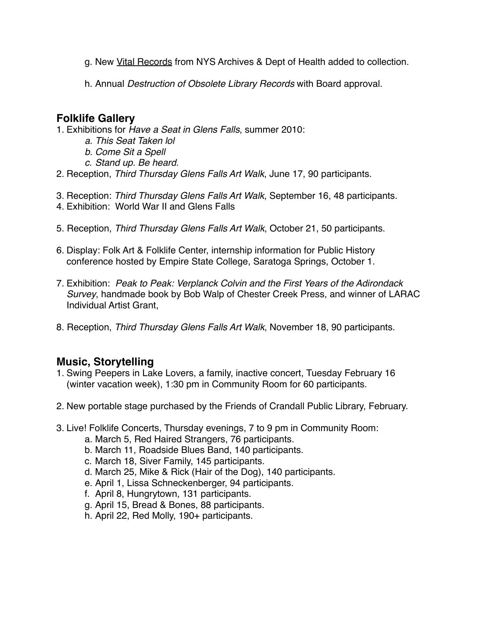- g. New Vital Records from NYS Archives & Dept of Health added to collection.
- h. Annual *Destruction of Obsolete Library Records* with Board approval.

# **Folklife Gallery**

- 1. Exhibitions for *Have a Seat in Glens Falls*, summer 2010:
	- *a. This Seat Taken lol*
	- *b. Come Sit a Spell*
	- *c. Stand up. Be heard.*
- 2. Reception, *Third Thursday Glens Falls Art Walk*, June 17, 90 participants.
- 3. Reception: *Third Thursday Glens Falls Art Walk*, September 16, 48 participants.
- 4. Exhibition: World War II and Glens Falls
- 5. Reception, *Third Thursday Glens Falls Art Walk*, October 21, 50 participants.
- 6. Display: Folk Art & Folklife Center, internship information for Public History conference hosted by Empire State College, Saratoga Springs, October 1.
- 7. Exhibition: *Peak to Peak: Verplanck Colvin and the First Years of the Adirondack Survey*, handmade book by Bob Walp of Chester Creek Press, and winner of LARAC Individual Artist Grant,
- 8. Reception, *Third Thursday Glens Falls Art Walk*, November 18, 90 participants.

# **Music, Storytelling**

- 1. Swing Peepers in Lake Lovers, a family, inactive concert, Tuesday February 16 (winter vacation week), 1:30 pm in Community Room for 60 participants.
- 2. New portable stage purchased by the Friends of Crandall Public Library, February.
- 3. Live! Folklife Concerts, Thursday evenings, 7 to 9 pm in Community Room:
	- a. March 5, Red Haired Strangers, 76 participants.
	- b. March 11, Roadside Blues Band, 140 participants.
	- c. March 18, Siver Family, 145 participants.
	- d. March 25, Mike & Rick (Hair of the Dog), 140 participants.
	- e. April 1, Lissa Schneckenberger, 94 participants.
	- f. April 8, Hungrytown, 131 participants.
	- g. April 15, Bread & Bones, 88 participants.
	- h. April 22, Red Molly, 190+ participants.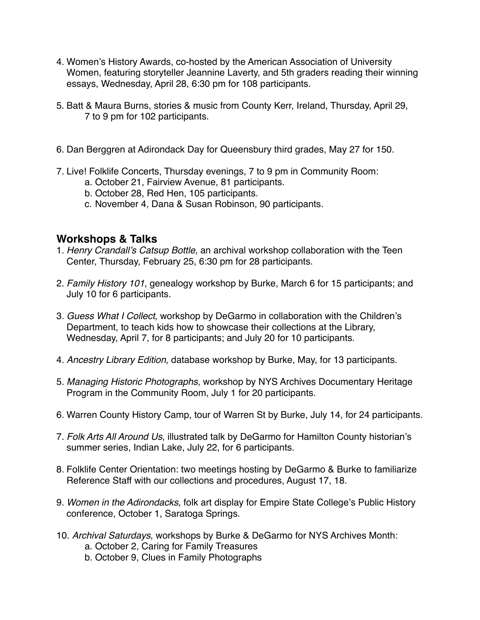- 4. Women's History Awards, co-hosted by the American Association of University Women, featuring storyteller Jeannine Laverty, and 5th graders reading their winning essays, Wednesday, April 28, 6:30 pm for 108 participants.
- 5. Batt & Maura Burns, stories & music from County Kerr, Ireland, Thursday, April 29, 7 to 9 pm for 102 participants.
- 6. Dan Berggren at Adirondack Day for Queensbury third grades, May 27 for 150.
- 7. Live! Folklife Concerts, Thursday evenings, 7 to 9 pm in Community Room:
	- a. October 21, Fairview Avenue, 81 participants.
	- b. October 28, Red Hen, 105 participants.
	- c. November 4, Dana & Susan Robinson, 90 participants.

# **Workshops & Talks**

- 1. *Henry Crandall*'*s Catsup Bottle*, an archival workshop collaboration with the Teen Center, Thursday, February 25, 6:30 pm for 28 participants.
- 2. *Family History 101*, genealogy workshop by Burke, March 6 for 15 participants; and July 10 for 6 participants.
- 3. *Guess What I Collect*, workshop by DeGarmo in collaboration with the Children's Department, to teach kids how to showcase their collections at the Library, Wednesday, April 7, for 8 participants; and July 20 for 10 participants.
- 4. *Ancestry Library Edition*, database workshop by Burke, May, for 13 participants.
- 5. *Managing Historic Photographs*, workshop by NYS Archives Documentary Heritage Program in the Community Room, July 1 for 20 participants.
- 6. Warren County History Camp, tour of Warren St by Burke, July 14, for 24 participants.
- 7. *Folk Arts All Around Us*, illustrated talk by DeGarmo for Hamilton County historian's summer series, Indian Lake, July 22, for 6 participants.
- 8. Folklife Center Orientation: two meetings hosting by DeGarmo & Burke to familiarize Reference Staff with our collections and procedures, August 17, 18.
- 9. *Women in the Adirondacks*, folk art display for Empire State College's Public History conference, October 1, Saratoga Springs.
- 10. *Archival Saturdays*, workshops by Burke & DeGarmo for NYS Archives Month:
	- a. October 2, Caring for Family Treasures
	- b. October 9, Clues in Family Photographs